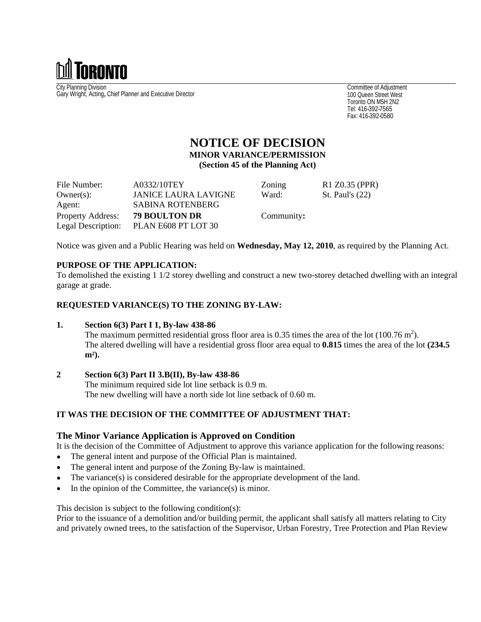

City Planning Division Gary Wright, Acting**,** Chief Planner and Executive Director

Committee of Adjustment 100 Queen Street West Toronto ON M5H 2N2 Tel: 416-392-7565 Fax: 416-392-0580

# **NOTICE OF DECISION MINOR VARIANCE/PERMISSION (Section 45 of the Planning Act)**

| File Number:      | A0332/10TEY                            | Zoning     | R1 Z0.35 (PPR)  |
|-------------------|----------------------------------------|------------|-----------------|
| $Owner(s)$ :      | <b>JANICE LAURA LAVIGNE</b>            | Ward:      | St. Paul's (22) |
| Agent:            | SABINA ROTENBERG                       |            |                 |
| Property Address: | 79 BOULTON DR                          | Community: |                 |
|                   | Legal Description: PLAN E608 PT LOT 30 |            |                 |

Notice was given and a Public Hearing was held on **Wednesday, May 12, 2010**, as required by the Planning Act.

## **PURPOSE OF THE APPLICATION:**

To demolished the existing 1 1/2 storey dwelling and construct a new two-storey detached dwelling with an integral garage at grade.

### **REQUESTED VARIANCE(S) TO THE ZONING BY-LAW:**

#### **1. Section 6(3) Part I 1, By-law 438-86**

The maximum permitted residential gross floor area is 0.35 times the area of the lot  $(100.76 \text{ m}^2)$ . ). The altered dwelling will have a residential gross floor area equal to **0.815** times the area of the lot **(234.5 m²).**

### **2 Section 6(3) Part II 3.B(II), By-law 438-86**

The minimum required side lot line setback is 0.9 m. The new dwelling will have a north side lot line setback of 0.60 m.

### **IT WAS THE DECISION OF THE COMMITTEE OF ADJUSTMENT THAT:**

### **The Minor Variance Application is Approved on Condition**

It is the decision of the Committee of Adjustment to approve this variance application for the following reasons:

- $\bullet$ The general intent and purpose of the Official Plan is maintained.
- The general intent and purpose of the Zoning By-law is maintained.  $\bullet$
- The variance(s) is considered desirable for the appropriate development of the land.  $\bullet$
- In the opinion of the Committee, the variance(s) is minor.

This decision is subject to the following condition(s):

Prior to the issuance of a demolition and/or building permit, the applicant shall satisfy all matters relating to City and privately owned trees, to the satisfaction of the Supervisor, Urban Forestry, Tree Protection and Plan Review